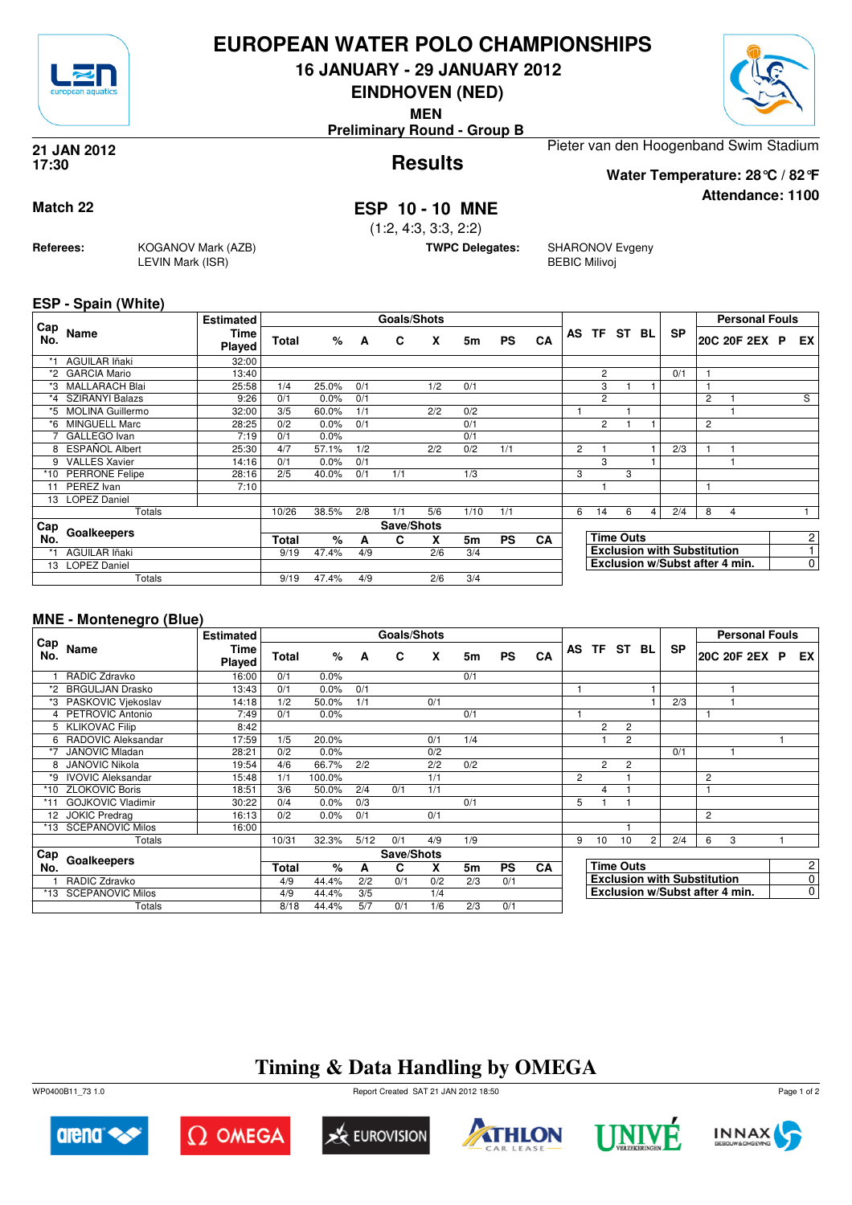

## **EUROPEAN WATER POLO CHAMPIONSHIPS**

**16 JANUARY - 29 JANUARY 2012**

**EINDHOVEN (NED)**

**MEN**

**Preliminary Round - Group B**





**Attendance: 1100**

**Results 21 JAN 2012 17:30**

Pieter van den Hoogenband Swim Stadium **Water Temperature: 28°C / 82°F**

**Match 22 ESP 10 - 10 MNE**

(1:2, 4:3, 3:3, 2:2)

**TWPC Delegates:** SHARONOV Evgeny BEBIC Milivoj

### **ESP - Spain (White)**

**Referees:** KOGANOV Mark (AZB)

LEVIN Mark (ISR)

|            |                        | <b>Estimated</b> |       | Goals/Shots |     |            |     |           |           |    |                |                  |   |     |                                    |   | <b>Personal Fouls</b>          |                |
|------------|------------------------|------------------|-------|-------------|-----|------------|-----|-----------|-----------|----|----------------|------------------|---|-----|------------------------------------|---|--------------------------------|----------------|
| Cap<br>No. | Name                   | Time<br>Played   | Total | %           | A   | C          | X   | 5m        | <b>PS</b> | CA |                | AS TF ST         |   | BL. | <b>SP</b>                          |   | 20C 20F 2EX P                  | EX.            |
|            | AGUILAR Iñaki          | 32:00            |       |             |     |            |     |           |           |    |                |                  |   |     |                                    |   |                                |                |
|            | *2 GARCIA Mario        | 13:40            |       |             |     |            |     |           |           |    |                | $\overline{c}$   |   |     | 0/1                                |   |                                |                |
| *3         | <b>MALLARACH Blai</b>  | 25:58            | 1/4   | 25.0%       | 0/1 |            | 1/2 | 0/1       |           |    |                | 3                |   |     |                                    |   |                                |                |
| *4         | <b>SZIRANYI Balazs</b> | 9:26             | 0/1   | 0.0%        | 0/1 |            |     |           |           |    |                | $\overline{c}$   |   |     |                                    | 2 |                                | S              |
|            | *5 MOLINA Guillermo    | 32:00            | 3/5   | 60.0%       | 1/1 |            | 2/2 | 0/2       |           |    |                |                  |   |     |                                    |   |                                |                |
| *6         | <b>MINGUELL Marc</b>   | 28:25            | 0/2   | 0.0%        | 0/1 |            |     | 0/1       |           |    |                | $\overline{2}$   |   |     |                                    | 2 |                                |                |
|            | GALLEGO Ivan           | 7:19             | 0/1   | 0.0%        |     |            |     | 0/1       |           |    |                |                  |   |     |                                    |   |                                |                |
| 8          | ESPAÑOL Albert         | 25:30            | 4/7   | 57.1%       | 1/2 |            | 2/2 | 0/2       | 1/1       |    | $\overline{2}$ |                  |   |     | 2/3                                |   |                                |                |
| 9          | <b>VALLES Xavier</b>   | 14:16            | 0/1   | 0.0%        | 0/1 |            |     |           |           |    |                | 3                |   |     |                                    |   |                                |                |
| *10        | <b>PERRONE Felipe</b>  | 28:16            | 2/5   | 40.0%       | 0/1 | 1/1        |     | 1/3       |           |    | 3              |                  | 3 |     |                                    |   |                                |                |
| 11         | PEREZ Ivan             | 7:10             |       |             |     |            |     |           |           |    |                |                  |   |     |                                    |   |                                |                |
|            | 13 LOPEZ Daniel        |                  |       |             |     |            |     |           |           |    |                |                  |   |     |                                    |   |                                |                |
|            | Totals                 |                  | 10/26 | 38.5%       | 2/8 | 1/1        | 5/6 | 1/10      | 1/1       |    | 6              | 14               | 6 | 4   | 2/4                                | 8 | 4                              |                |
| Cap        |                        |                  |       |             |     | Save/Shots |     |           |           |    |                |                  |   |     |                                    |   |                                |                |
| No.        | Goalkeepers            | Total            | $\%$  | A           | C   | x          | 5m  | <b>PS</b> | <b>CA</b> |    |                | <b>Time Outs</b> |   |     |                                    |   | $\overline{2}$                 |                |
| *1         | AGUILAR Iñaki          |                  | 9/19  | 47.4%       | 4/9 |            | 2/6 | 3/4       |           |    |                |                  |   |     | <b>Exclusion with Substitution</b> |   |                                |                |
| 13         | <b>LOPEZ Daniel</b>    |                  |       |             |     |            |     |           |           |    |                |                  |   |     |                                    |   | Exclusion w/Subst after 4 min. | $\overline{0}$ |
|            | Totals                 | 9/19             | 47.4% | 4/9         |     | 2/6        | 3/4 |           |           |    |                |                  |   |     |                                    |   |                                |                |

## **MNE - Montenegro (Blue)**

|            |                          | <b>Estimated</b>      |       |        |      | Goals/Shots |     |     |           |           |                |                                    |                  |                |           |                | <b>Personal Fouls</b> |             |                |
|------------|--------------------------|-----------------------|-------|--------|------|-------------|-----|-----|-----------|-----------|----------------|------------------------------------|------------------|----------------|-----------|----------------|-----------------------|-------------|----------------|
| Cap<br>No. | Name                     | Time<br><b>Played</b> | Total | $\%$   | A    | C           | X   | 5m  | <b>PS</b> | CA        |                |                                    | AS TF ST         | BL.            | <b>SP</b> |                | 20C 20F 2EX P EX      |             |                |
|            | RADIC Zdravko            | 16:00                 | 0/1   | 0.0%   |      |             |     | 0/1 |           |           |                |                                    |                  |                |           |                |                       |             |                |
| *2         | <b>BRGULJAN Drasko</b>   | 13:43                 | 0/1   | 0.0%   | 0/1  |             |     |     |           |           |                |                                    |                  |                |           |                |                       |             |                |
| *3         | PASKOVIC Vjekoslav       | 14:18                 | 1/2   | 50.0%  | 1/1  |             | 0/1 |     |           |           |                |                                    |                  |                | 2/3       |                |                       |             |                |
|            | PETROVIC Antonio         | 7:49                  | 0/1   | 0.0%   |      |             |     | 0/1 |           |           |                |                                    |                  |                |           |                |                       |             |                |
|            | 5 KLIKOVAC Filip         | 8:42                  |       |        |      |             |     |     |           |           |                | $\overline{c}$                     | 2                |                |           |                |                       |             |                |
| 6          | RADOVIC Aleksandar       | 17:59                 | 1/5   | 20.0%  |      |             | 0/1 | 1/4 |           |           |                |                                    | 2                |                |           |                |                       |             |                |
| *7         | <b>JANOVIC Mladan</b>    | 28:21                 | 0/2   | 0.0%   |      |             | 0/2 |     |           |           |                |                                    |                  |                | 0/1       |                |                       |             |                |
|            | <b>JANOVIC Nikola</b>    | 19:54                 | 4/6   | 66.7%  | 2/2  |             | 2/2 | 0/2 |           |           |                | $\overline{2}$                     | $\overline{2}$   |                |           |                |                       |             |                |
| *9         | <b>IVOVIC Aleksandar</b> | 15:48                 | 1/1   | 100.0% |      |             | 1/1 |     |           |           | $\overline{2}$ |                                    |                  |                |           | $\overline{c}$ |                       |             |                |
| $*10$      | <b>ZLOKOVIC Boris</b>    | 18:51                 | 3/6   | 50.0%  | 2/4  | 0/1         | 1/1 |     |           |           |                | 4                                  |                  |                |           |                |                       |             |                |
|            | <b>GOJKOVIC Vladimir</b> | 30:22                 | 0/4   | 0.0%   | 0/3  |             |     | 0/1 |           |           | 5              |                                    |                  |                |           |                |                       |             |                |
| 12         | <b>JOKIC Predrag</b>     | 16:13                 | 0/2   | 0.0%   | 0/1  |             | 0/1 |     |           |           |                |                                    |                  |                |           | $\overline{2}$ |                       |             |                |
| $*13$      | <b>SCEPANOVIC Milos</b>  | 16:00                 |       |        |      |             |     |     |           |           |                |                                    |                  |                |           |                |                       |             |                |
|            | Totals                   |                       | 10/31 | 32.3%  | 5/12 | 0/1         | 4/9 | 1/9 |           |           | 9              | 10                                 | 10               | $\overline{2}$ | 2/4       | 6              | 3                     |             |                |
| Cap        | Goalkeepers              |                       |       |        |      | Save/Shots  |     |     |           |           |                |                                    |                  |                |           |                |                       |             |                |
| No.        |                          |                       | Total | %      | А    | C           | x   | 5m  | <b>PS</b> | <b>CA</b> |                |                                    | <b>Time Outs</b> |                |           |                |                       |             | $\overline{2}$ |
|            | RADIC Zdravko            |                       | 4/9   | 44.4%  | 2/2  | 0/1         | 0/2 | 2/3 | 0/1       |           |                | <b>Exclusion with Substitution</b> |                  |                |           |                |                       |             | $\mathbf 0$    |
| *13        | <b>SCEPANOVIC Milos</b>  |                       | 4/9   | 44.4%  | 3/5  |             | 1/4 |     |           |           |                | Exclusion w/Subst after 4 min.     |                  |                |           |                |                       | $\mathbf 0$ |                |
|            | Totals                   |                       | 8/18  | 44.4%  | 5/7  | 0/1         | 1/6 | 2/3 | 0/1       |           |                |                                    |                  |                |           |                |                       |             |                |

# **Timing & Data Handling by OMEGA**













Page 1 of 2

WP0400B11\_73 1.0 Report Created SAT 21 JAN 2012 18:50